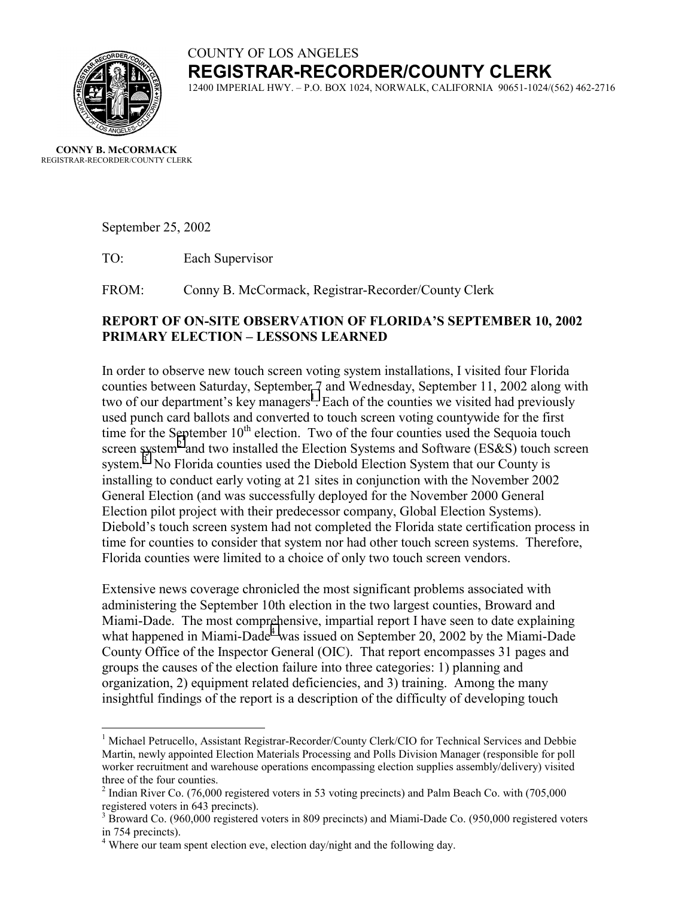# COUNTY OF LOS ANGELES **REGISTRAR-RECORDER/COUNTY CLERK**



12400 IMPERIAL HWY. – P.O. BOX 1024, NORWALK, CALIFORNIA 90651-1024/(562) 462-2716

**CONNY B. McCORMACK** REGISTRAR-RECORDER/COUNTY CLERK

 $\overline{a}$ 

September 25, 2002

TO: Each Supervisor

FROM: Conny B. McCormack, Registrar-Recorder/County Clerk

## **REPORT OF ON-SITE OBSERVATION OF FLORIDA'S SEPTEMBER 10, 2002 PRIMARY ELECTION – LESSONS LEARNED**

In order to observe new touch screen voting system installations, I visited four Florida counties between Saturday, September 7 and Wednesday, September 11, 2002 along with two of our department's key managers<sup>1</sup>. Each of the counties we visited had previously used punch card ballots and converted to touch screen voting countywide for the first time for the September  $10<sup>th</sup>$  election. Two of the four counties used the Sequoia touch screen system<sup>2</sup> and two installed the Election Systems and Software (ES&S) touch screen system.<sup>3</sup> No Florida counties used the Diebold Election System that our County is installing to conduct early voting at 21 sites in conjunction with the November 2002 General Election (and was successfully deployed for the November 2000 General Election pilot project with their predecessor company, Global Election Systems). Diebold's touch screen system had not completed the Florida state certification process in time for counties to consider that system nor had other touch screen systems. Therefore, Florida counties were limited to a choice of only two touch screen vendors.

Extensive news coverage chronicled the most significant problems associated with administering the September 10th election in the two largest counties, Broward and Miami-Dade. The most comprehensive, impartial report I have seen to date explaining what happened in Miami-Dade<sup>4</sup> was issued on September 20, 2002 by the Miami-Dade County Office of the Inspector General (OIC). That report encompasses 31 pages and groups the causes of the election failure into three categories: 1) planning and organization, 2) equipment related deficiencies, and 3) training. Among the many insightful findings of the report is a description of the difficulty of developing touch

<sup>&</sup>lt;sup>1</sup> Michael Petrucello, Assistant Registrar-Recorder/County Clerk/CIO for Technical Services and Debbie Martin, newly appointed Election Materials Processing and Polls Division Manager (responsible for poll worker recruitment and warehouse operations encompassing election supplies assembly/delivery) visited three of the four counties.

 $2$  Indian River Co. (76,000 registered voters in 53 voting precincts) and Palm Beach Co. with (705,000 registered voters in 643 precincts).

<sup>&</sup>lt;sup>3</sup> Broward Co. (960,000 registered voters in 809 precincts) and Miami-Dade Co. (950,000 registered voters in 754 precincts).

<sup>&</sup>lt;sup>4</sup> Where our team spent election eve, election day/night and the following day.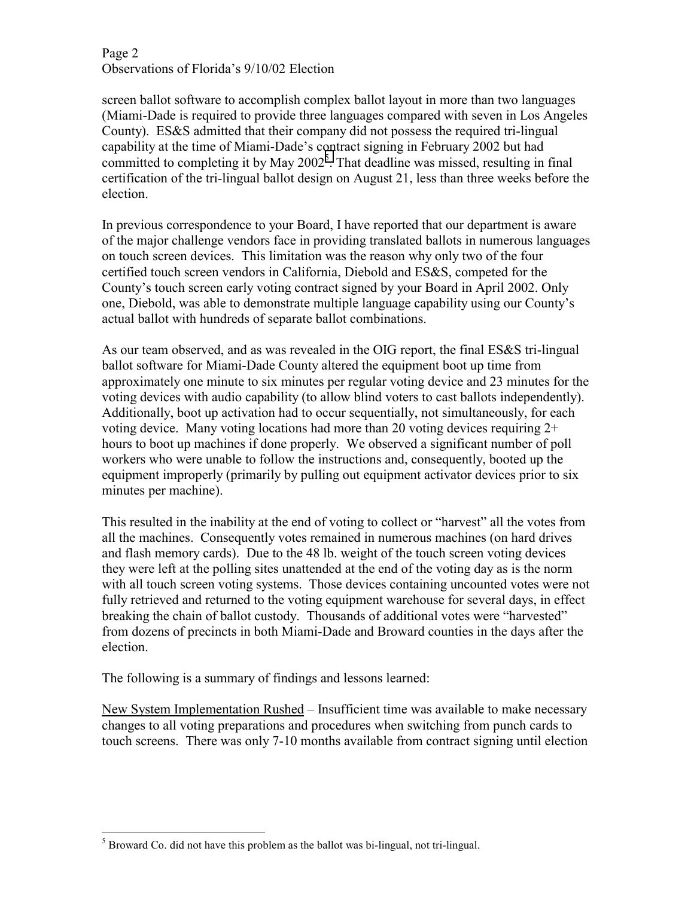Page 2 Observations of Florida's 9/10/02 Election

screen ballot software to accomplish complex ballot layout in more than two languages (Miami-Dade is required to provide three languages compared with seven in Los Angeles County). ES&S admitted that their company did not possess the required tri-lingual capability at the time of Miami-Dade's contract signing in February 2002 but had committed to completing it by May  $2002^5$ . That deadline was missed, resulting in final certification of the tri-lingual ballot design on August 21, less than three weeks before the election.

In previous correspondence to your Board, I have reported that our department is aware of the major challenge vendors face in providing translated ballots in numerous languages on touch screen devices. This limitation was the reason why only two of the four certified touch screen vendors in California, Diebold and ES&S, competed for the County's touch screen early voting contract signed by your Board in April 2002. Only one, Diebold, was able to demonstrate multiple language capability using our County's actual ballot with hundreds of separate ballot combinations.

As our team observed, and as was revealed in the OIG report, the final ES&S tri-lingual ballot software for Miami-Dade County altered the equipment boot up time from approximately one minute to six minutes per regular voting device and 23 minutes for the voting devices with audio capability (to allow blind voters to cast ballots independently). Additionally, boot up activation had to occur sequentially, not simultaneously, for each voting device. Many voting locations had more than 20 voting devices requiring 2+ hours to boot up machines if done properly. We observed a significant number of poll workers who were unable to follow the instructions and, consequently, booted up the equipment improperly (primarily by pulling out equipment activator devices prior to six minutes per machine).

This resulted in the inability at the end of voting to collect or "harvest" all the votes from all the machines. Consequently votes remained in numerous machines (on hard drives and flash memory cards). Due to the 48 lb. weight of the touch screen voting devices they were left at the polling sites unattended at the end of the voting day as is the norm with all touch screen voting systems. Those devices containing uncounted votes were not fully retrieved and returned to the voting equipment warehouse for several days, in effect breaking the chain of ballot custody. Thousands of additional votes were "harvested" from dozens of precincts in both Miami-Dade and Broward counties in the days after the election.

The following is a summary of findings and lessons learned:

New System Implementation Rushed – Insufficient time was available to make necessary changes to all voting preparations and procedures when switching from punch cards to touch screens. There was only 7-10 months available from contract signing until election

<sup>1</sup>  $<sup>5</sup>$  Broward Co. did not have this problem as the ballot was bi-lingual, not tri-lingual.</sup>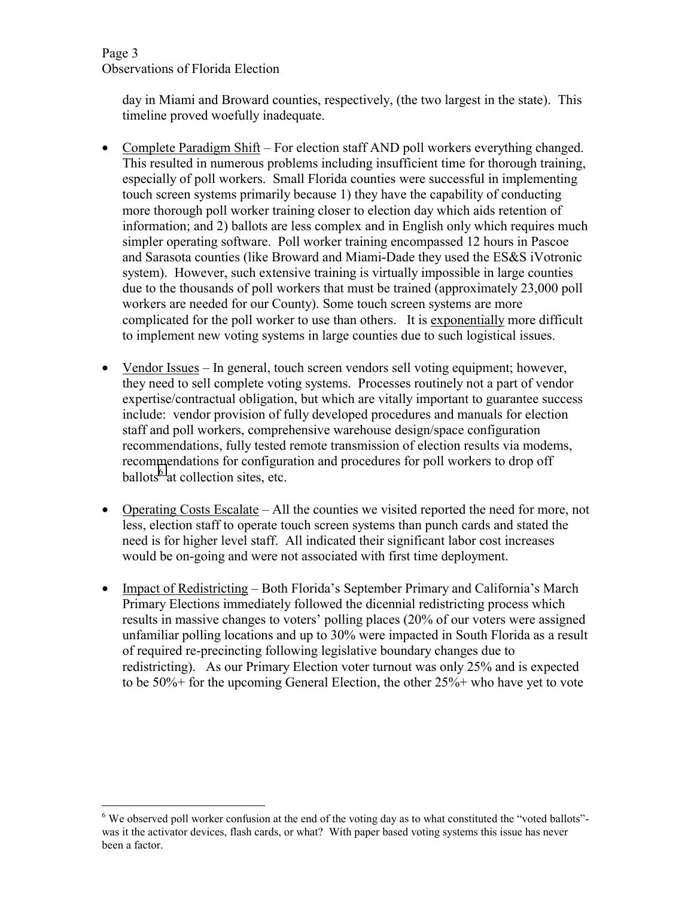### Page 3 Observations of Florida Election

 $\overline{a}$ 

day in Miami and Broward counties, respectively, (the two largest in the state). This timeline proved woefully inadequate.

- Complete Paradigm Shift For election staff AND poll workers everything changed. This resulted in numerous problems including insufficient time for thorough training, especially of poll workers. Small Florida counties were successful in implementing touch screen systems primarily because 1) they have the capability of conducting more thorough poll worker training closer to election day which aids retention of information; and 2) ballots are less complex and in English only which requires much simpler operating software. Poll worker training encompassed 12 hours in Pascoe and Sarasota counties (like Broward and Miami-Dade they used the ES&S iVotronic system). However, such extensive training is virtually impossible in large counties due to the thousands of poll workers that must be trained (approximately 23,000 poll workers are needed for our County). Some touch screen systems are more complicated for the poll worker to use than others. It is exponentially more difficult to implement new voting systems in large counties due to such logistical issues.
- Vendor Issues In general, touch screen vendors sell voting equipment; however, they need to sell complete voting systems. Processes routinely not a part of vendor expertise/contractual obligation, but which are vitally important to guarantee success include: vendor provision of fully developed procedures and manuals for election staff and poll workers, comprehensive warehouse design/space configuration recommendations, fully tested remote transmission of election results via modems, recommendations for configuration and procedures for poll workers to drop off ballots<sup>6</sup> at collection sites, etc.
- Operating Costs Escalate All the counties we visited reported the need for more, not less, election staff to operate touch screen systems than punch cards and stated the need is for higher level staff. All indicated their significant labor cost increases would be on-going and were not associated with first time deployment.
- Impact of Redistricting Both Florida's September Primary and California's March Primary Elections immediately followed the dicennial redistricting process which results in massive changes to voters' polling places (20% of our voters were assigned unfamiliar polling locations and up to 30% were impacted in South Florida as a result of required re-precincting following legislative boundary changes due to redistricting). As our Primary Election voter turnout was only 25% and is expected to be 50%+ for the upcoming General Election, the other 25%+ who have yet to vote

<sup>&</sup>lt;sup>6</sup> We observed poll worker confusion at the end of the voting day as to what constituted the "voted ballots"was it the activator devices, flash cards, or what? With paper based voting systems this issue has never been a factor.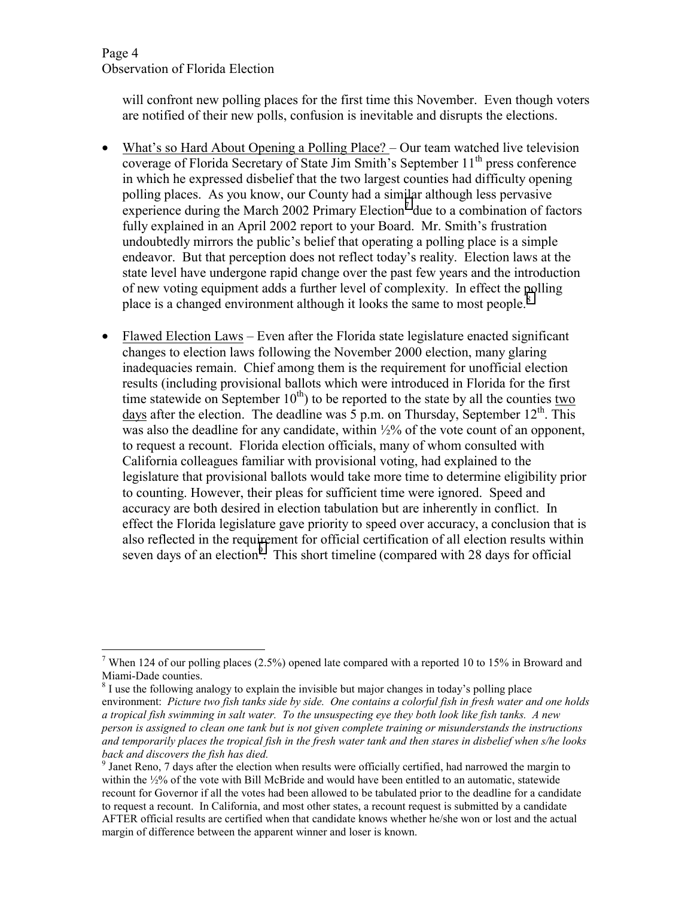#### Page 4 Observation of Florida Election

 $\overline{a}$ 

will confront new polling places for the first time this November. Even though voters are notified of their new polls, confusion is inevitable and disrupts the elections.

- What's so Hard About Opening a Polling Place? Our team watched live television coverage of Florida Secretary of State Jim Smith's September 11<sup>th</sup> press conference in which he expressed disbelief that the two largest counties had difficulty opening polling places. As you know, our County had a similar although less pervasive experience during the March 2002 Primary Election<sup>7</sup> due to a combination of factors fully explained in an April 2002 report to your Board. Mr. Smith's frustration undoubtedly mirrors the public's belief that operating a polling place is a simple endeavor. But that perception does not reflect today's reality. Election laws at the state level have undergone rapid change over the past few years and the introduction of new voting equipment adds a further level of complexity. In effect the polling place is a changed environment although it looks the same to most people.<sup>8</sup>
- Flawed Election Laws Even after the Florida state legislature enacted significant changes to election laws following the November 2000 election, many glaring inadequacies remain. Chief among them is the requirement for unofficial election results (including provisional ballots which were introduced in Florida for the first time statewide on September  $10<sup>th</sup>$ ) to be reported to the state by all the counties two days after the election. The deadline was 5 p.m. on Thursday, September  $12^{th}$ . This was also the deadline for any candidate, within  $\frac{1}{2}\%$  of the vote count of an opponent, to request a recount. Florida election officials, many of whom consulted with California colleagues familiar with provisional voting, had explained to the legislature that provisional ballots would take more time to determine eligibility prior to counting. However, their pleas for sufficient time were ignored. Speed and accuracy are both desired in election tabulation but are inherently in conflict. In effect the Florida legislature gave priority to speed over accuracy, a conclusion that is also reflected in the requirement for official certification of all election results within seven days of an election<sup>9</sup>. This short timeline (compared with 28 days for official

<sup>&</sup>lt;sup>7</sup> When 124 of our polling places (2.5%) opened late compared with a reported 10 to 15% in Broward and Miami-Dade counties.

 $8<sup>8</sup>$  I use the following analogy to explain the invisible but major changes in today's polling place environment: *Picture two fish tanks side by side. One contains a colorful fish in fresh water and one holds a tropical fish swimming in salt water. To the unsuspecting eye they both look like fish tanks. A new person is assigned to clean one tank but is not given complete training or misunderstands the instructions and temporarily places the tropical fish in the fresh water tank and then stares in disbelief when s/he looks back and discovers the fish has died.* 

<sup>&</sup>lt;sup>9</sup> Janet Reno, 7 days after the election when results were officially certified, had narrowed the margin to within the  $\frac{1}{2}\%$  of the vote with Bill McBride and would have been entitled to an automatic, statewide recount for Governor if all the votes had been allowed to be tabulated prior to the deadline for a candidate to request a recount. In California, and most other states, a recount request is submitted by a candidate AFTER official results are certified when that candidate knows whether he/she won or lost and the actual margin of difference between the apparent winner and loser is known.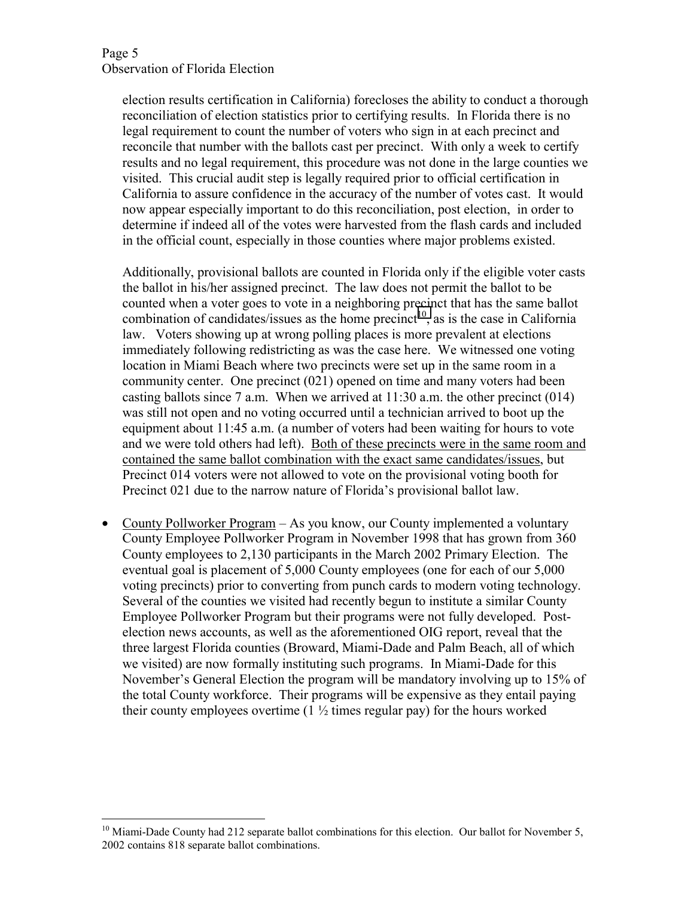$\overline{a}$ 

election results certification in California) forecloses the ability to conduct a thorough reconciliation of election statistics prior to certifying results. In Florida there is no legal requirement to count the number of voters who sign in at each precinct and reconcile that number with the ballots cast per precinct. With only a week to certify results and no legal requirement, this procedure was not done in the large counties we visited. This crucial audit step is legally required prior to official certification in California to assure confidence in the accuracy of the number of votes cast. It would now appear especially important to do this reconciliation, post election, in order to determine if indeed all of the votes were harvested from the flash cards and included in the official count, especially in those counties where major problems existed.

Additionally, provisional ballots are counted in Florida only if the eligible voter casts the ballot in his/her assigned precinct. The law does not permit the ballot to be counted when a voter goes to vote in a neighboring precinct that has the same ballot combination of candidates/issues as the home precinct<sup>10</sup>, as is the case in California law. Voters showing up at wrong polling places is more prevalent at elections immediately following redistricting as was the case here. We witnessed one voting location in Miami Beach where two precincts were set up in the same room in a community center. One precinct (021) opened on time and many voters had been casting ballots since 7 a.m. When we arrived at  $11:30$  a.m. the other precinct (014) was still not open and no voting occurred until a technician arrived to boot up the equipment about 11:45 a.m. (a number of voters had been waiting for hours to vote and we were told others had left). Both of these precincts were in the same room and contained the same ballot combination with the exact same candidates/issues, but Precinct 014 voters were not allowed to vote on the provisional voting booth for Precinct 021 due to the narrow nature of Florida's provisional ballot law.

• County Pollworker Program – As you know, our County implemented a voluntary County Employee Pollworker Program in November 1998 that has grown from 360 County employees to 2,130 participants in the March 2002 Primary Election. The eventual goal is placement of 5,000 County employees (one for each of our 5,000 voting precincts) prior to converting from punch cards to modern voting technology. Several of the counties we visited had recently begun to institute a similar County Employee Pollworker Program but their programs were not fully developed. Postelection news accounts, as well as the aforementioned OIG report, reveal that the three largest Florida counties (Broward, Miami-Dade and Palm Beach, all of which we visited) are now formally instituting such programs. In Miami-Dade for this November's General Election the program will be mandatory involving up to 15% of the total County workforce. Their programs will be expensive as they entail paying their county employees overtime  $(1 \frac{1}{2})$  times regular pay) for the hours worked

<sup>&</sup>lt;sup>10</sup> Miami-Dade County had 212 separate ballot combinations for this election. Our ballot for November 5, 2002 contains 818 separate ballot combinations.